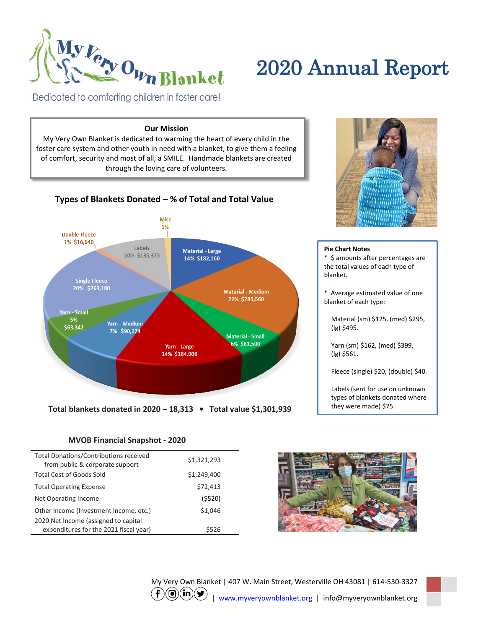

# 2020 Annual Report

Dedicated to comforting children in foster care!

### **Our Mission**

My Very Own Blanket is dedicated to warming the heart of every child in the foster care system and other youth in need with a blanket, to give them a feeling of comfort, security and most of all, a SMILE. Handmade blankets are created through the loving care of volunteers.



#### **Pie Chart Notes** \* \$ amounts after percentages are the total values of each type of blanket.

\* Average estimated value of one blanket of each type:

Material (sm) \$125, (med) \$295, (lg) \$495.

Yarn (sm) \$162, (med) \$399, (lg) \$561.

Fleece (single) \$20, (double) \$40.

Labels (sent for use on unknown types of blankets donated where they were made) \$75.

# **MVOB Financial Snapshot - 2020**

| <b>Total Donations/Contributions received</b> | \$1,321,293 |
|-----------------------------------------------|-------------|
| from public & corporate support               |             |
| <b>Total Cost of Goods Sold</b>               | \$1,249,400 |
| <b>Total Operating Expense</b>                | \$72,413    |
| Net Operating Income                          | (5520)      |
| Other Income (Investment Income, etc.)        | \$1,046     |
| 2020 Net Income (assigned to capital          |             |
| expenditures for the 2021 fiscal year)        | \$526       |



My Very Own Blanket | 407 W. Main Street, Westerville OH 43081 | 614-530-3327  $\binom{f(\textbf{0})(\textbf{in})(\textbf{y})}{\text{www.myveryownblanket.org}}$  | info@myveryownblanket.org